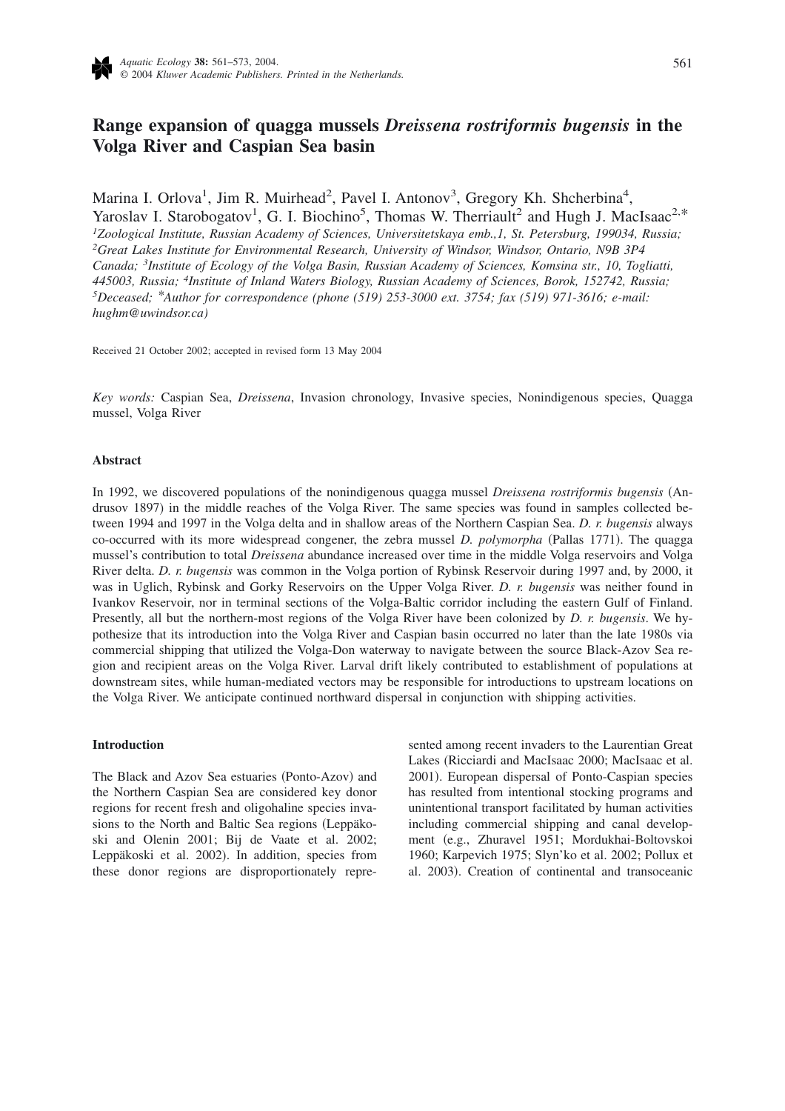

# **Range expansion of quagga mussels** *Dreissena rostriformis bugensis* **in the Volga River and Caspian Sea basin**

Marina I. Orlova<sup>1</sup>, Jim R. Muirhead<sup>2</sup>, Pavel I. Antonov<sup>3</sup>, Gregory Kh. Shcherbina<sup>4</sup>, Yaroslav I. Starobogatov<sup>1</sup>, G. I. Biochino<sup>5</sup>, Thomas W. Therriault<sup>2</sup> and Hugh J. MacIsaac<sup>2,\*</sup> *1 Zoological Institute, Russian Academy of Sciences, Universitetskaya emb.,1, St. Petersburg, 199034, Russia; 2 Great Lakes Institute for Environmental Research, University of Windsor, Windsor, Ontario, N9B 3P4 Canada; <sup>3</sup> Institute of Ecology of the Volga Basin, Russian Academy of Sciences, Komsina str., 10, Togliatti, 445003, Russia; 4Institute of Inland Waters Biology, Russian Academy of Sciences, Borok, 152742, Russia; 5Deceased; \*Author for correspondence (phone (519) 253-3000 ext. 3754; fax (519) 971-3616; e-mail: hughm@uwindsor.ca)*

Received 21 October 2002; accepted in revised form 13 May 2004

*Key words:* Caspian Sea, *Dreissena*, Invasion chronology, Invasive species, Nonindigenous species, Quagga mussel, Volga River

## **Abstract**

In 1992, we discovered populations of the nonindigenous quagga mussel *Dreissena rostriformis bugensis* Andrusov 1897) in the middle reaches of the Volga River. The same species was found in samples collected between 1994 and 1997 in the Volga delta and in shallow areas of the Northern Caspian Sea. *D. r. bugensis* always co-occurred with its more widespread congener, the zebra mussel *D. polymorpha* (Pallas 1771). The quagga mussel's contribution to total *Dreissena* abundance increased over time in the middle Volga reservoirs and Volga River delta. *D. r. bugensis* was common in the Volga portion of Rybinsk Reservoir during 1997 and, by 2000, it was in Uglich, Rybinsk and Gorky Reservoirs on the Upper Volga River. *D. r. bugensis* was neither found in Ivankov Reservoir, nor in terminal sections of the Volga-Baltic corridor including the eastern Gulf of Finland. Presently, all but the northern-most regions of the Volga River have been colonized by *D. r. bugensis*. We hypothesize that its introduction into the Volga River and Caspian basin occurred no later than the late 1980s via commercial shipping that utilized the Volga-Don waterway to navigate between the source Black-Azov Sea region and recipient areas on the Volga River. Larval drift likely contributed to establishment of populations at downstream sites, while human-mediated vectors may be responsible for introductions to upstream locations on the Volga River. We anticipate continued northward dispersal in conjunction with shipping activities.

# **Introduction**

The Black and Azov Sea estuaries (Ponto-Azov) and the Northern Caspian Sea are considered key donor regions for recent fresh and oligohaline species invasions to the North and Baltic Sea regions (Leppäkoski and Olenin 2001; Bij de Vaate et al. 2002; Leppäkoski et al. 2002). In addition, species from these donor regions are disproportionately represented among recent invaders to the Laurentian Great Lakes (Ricciardi and MacIsaac 2000; MacIsaac et al. 2001). European dispersal of Ponto-Caspian species has resulted from intentional stocking programs and unintentional transport facilitated by human activities including commercial shipping and canal development (e.g., Zhuravel 1951; Mordukhai-Boltovskoi 1960; Karpevich 1975; Slyn'ko et al. 2002; Pollux et al. 2003). Creation of continental and transoceanic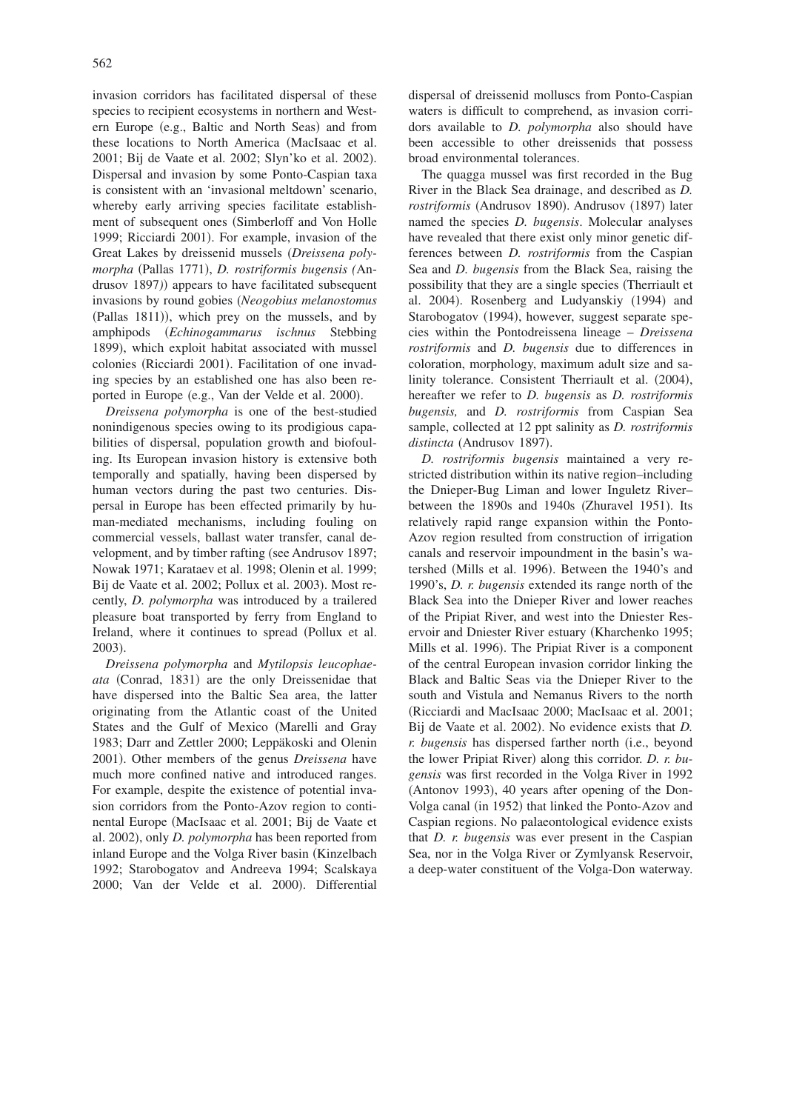invasion corridors has facilitated dispersal of these species to recipient ecosystems in northern and Western Europe (e.g., Baltic and North Seas) and from these locations to North America MacIsaac et al. 2001; Bij de Vaate et al. 2002; Slyn'ko et al. 2002). Dispersal and invasion by some Ponto-Caspian taxa is consistent with an 'invasional meltdown' scenario, whereby early arriving species facilitate establishment of subsequent ones (Simberloff and Von Holle 1999; Ricciardi 2001). For example, invasion of the Great Lakes by dreissenid mussels *Dreissena poly*morpha (Pallas 1771), *D. rostriformis bugensis (An*drusov 1897)) appears to have facilitated subsequent invasions by round gobies *Neogobius melanostomus* (Pallas 1811)), which prey on the mussels, and by amphipods *Echinogammarus ischnus* Stebbing 1899), which exploit habitat associated with mussel colonies (Ricciardi 2001). Facilitation of one invading species by an established one has also been reported in Europe (e.g., Van der Velde et al. 2000).

*Dreissena polymorpha* is one of the best-studied nonindigenous species owing to its prodigious capabilities of dispersal, population growth and biofouling. Its European invasion history is extensive both temporally and spatially, having been dispersed by human vectors during the past two centuries. Dispersal in Europe has been effected primarily by human-mediated mechanisms, including fouling on commercial vessels, ballast water transfer, canal development, and by timber rafting (see Andrusov 1897; Nowak 1971; Karataev et al. 1998; Olenin et al. 1999; Bij de Vaate et al. 2002; Pollux et al. 2003). Most recently, *D. polymorpha* was introduced by a trailered pleasure boat transported by ferry from England to Ireland, where it continues to spread (Pollux et al. 2003).

*Dreissena polymorpha* and *Mytilopsis leucophae*ata (Conrad, 1831) are the only Dreissenidae that have dispersed into the Baltic Sea area, the latter originating from the Atlantic coast of the United States and the Gulf of Mexico Marelli and Gray 1983; Darr and Zettler 2000; Leppäkoski and Olenin 2001). Other members of the genus *Dreissena* have much more confined native and introduced ranges. For example, despite the existence of potential invasion corridors from the Ponto-Azov region to continental Europe MacIsaac et al. 2001; Bij de Vaate et al. 2002), only *D. polymorpha* has been reported from inland Europe and the Volga River basin (Kinzelbach 1992; Starobogatov and Andreeva 1994; Scalskaya 2000; Van der Velde et al. 2000). Differential

dispersal of dreissenid molluscs from Ponto-Caspian waters is difficult to comprehend, as invasion corridors available to *D. polymorpha* also should have been accessible to other dreissenids that possess broad environmental tolerances.

The quagga mussel was first recorded in the Bug River in the Black Sea drainage, and described as *D.* rostriformis (Andrusov 1890). Andrusov (1897) later named the species *D. bugensis*. Molecular analyses have revealed that there exist only minor genetic differences between *D. rostriformis* from the Caspian Sea and *D. bugensis* from the Black Sea, raising the possibility that they are a single species Therriault et al. 2004). Rosenberg and Ludyanskiy (1994) and Starobogatov (1994), however, suggest separate species within the Pontodreissena lineage – *Dreissena rostriformis* and *D. bugensis* due to differences in coloration, morphology, maximum adult size and salinity tolerance. Consistent Therriault et al. (2004), hereafter we refer to *D. bugensis* as *D. rostriformis bugensis,* and *D. rostriformis* from Caspian Sea sample, collected at 12 ppt salinity as *D. rostriformis* distincta (Andrusov 1897).

*D. rostriformis bugensis* maintained a very restricted distribution within its native region–including the Dnieper-Bug Liman and lower Inguletz River– between the 1890s and 1940s (Zhuravel 1951). Its relatively rapid range expansion within the Ponto-Azov region resulted from construction of irrigation canals and reservoir impoundment in the basin's watershed (Mills et al. 1996). Between the 1940's and 1990's, *D. r. bugensis* extended its range north of the Black Sea into the Dnieper River and lower reaches of the Pripiat River, and west into the Dniester Reservoir and Dniester River estuary (Kharchenko 1995; Mills et al. 1996). The Pripiat River is a component of the central European invasion corridor linking the Black and Baltic Seas via the Dnieper River to the south and Vistula and Nemanus Rivers to the north Ricciardi and MacIsaac 2000; MacIsaac et al. 2001; Bij de Vaate et al. 2002). No evidence exists that *D*. *r. bugensis* has dispersed farther north (i.e., beyond the lower Pripiat River) along this corridor. *D. r. bugensis* was first recorded in the Volga River in 1992 (Antonov 1993), 40 years after opening of the Don-Volga canal (in 1952) that linked the Ponto-Azov and Caspian regions. No palaeontological evidence exists that *D. r. bugensis* was ever present in the Caspian Sea, nor in the Volga River or Zymlyansk Reservoir, a deep-water constituent of the Volga-Don waterway.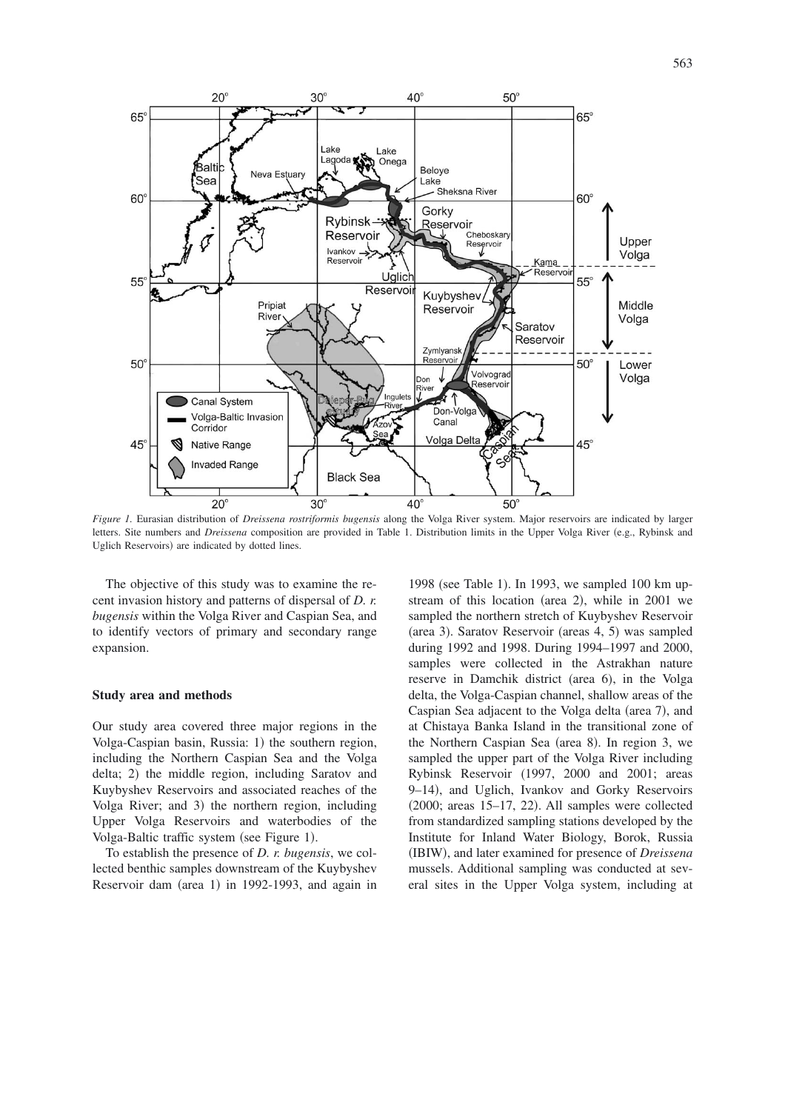

*Figure 1.* Eurasian distribution of *Dreissena rostriformis bugensis* along the Volga River system. Major reservoirs are indicated by larger letters. Site numbers and *Dreissena* composition are provided in Table 1. Distribution limits in the Upper Volga River (e.g., Rybinsk and Uglich Reservoirs) are indicated by dotted lines.

The objective of this study was to examine the recent invasion history and patterns of dispersal of *D. r. bugensis* within the Volga River and Caspian Sea, and to identify vectors of primary and secondary range expansion.

#### **Study area and methods**

Our study area covered three major regions in the Volga-Caspian basin, Russia: 1) the southern region, including the Northern Caspian Sea and the Volga delta; 2) the middle region, including Saratov and Kuybyshev Reservoirs and associated reaches of the Volga River; and 3) the northern region, including Upper Volga Reservoirs and waterbodies of the Volga-Baltic traffic system (see Figure 1).

To establish the presence of *D. r. bugensis*, we collected benthic samples downstream of the Kuybyshev Reservoir dam (area 1) in 1992-1993, and again in

1998 (see Table 1). In 1993, we sampled 100 km upstream of this location (area 2), while in  $2001$  we sampled the northern stretch of Kuybyshev Reservoir (area 3). Saratov Reservoir (areas 4, 5) was sampled during 1992 and 1998. During 1994–1997 and 2000, samples were collected in the Astrakhan nature reserve in Damchik district (area 6), in the Volga delta, the Volga-Caspian channel, shallow areas of the Caspian Sea adjacent to the Volga delta (area 7), and at Chistaya Banka Island in the transitional zone of the Northern Caspian Sea (area 8). In region 3, we sampled the upper part of the Volga River including Rybinsk Reservoir 1997, 2000 and 2001; areas 9-14), and Uglich, Ivankov and Gorky Reservoirs  $(2000; \text{ areas } 15-17, 22)$ . All samples were collected from standardized sampling stations developed by the Institute for Inland Water Biology, Borok, Russia (IBIW), and later examined for presence of *Dreissena* mussels. Additional sampling was conducted at several sites in the Upper Volga system, including at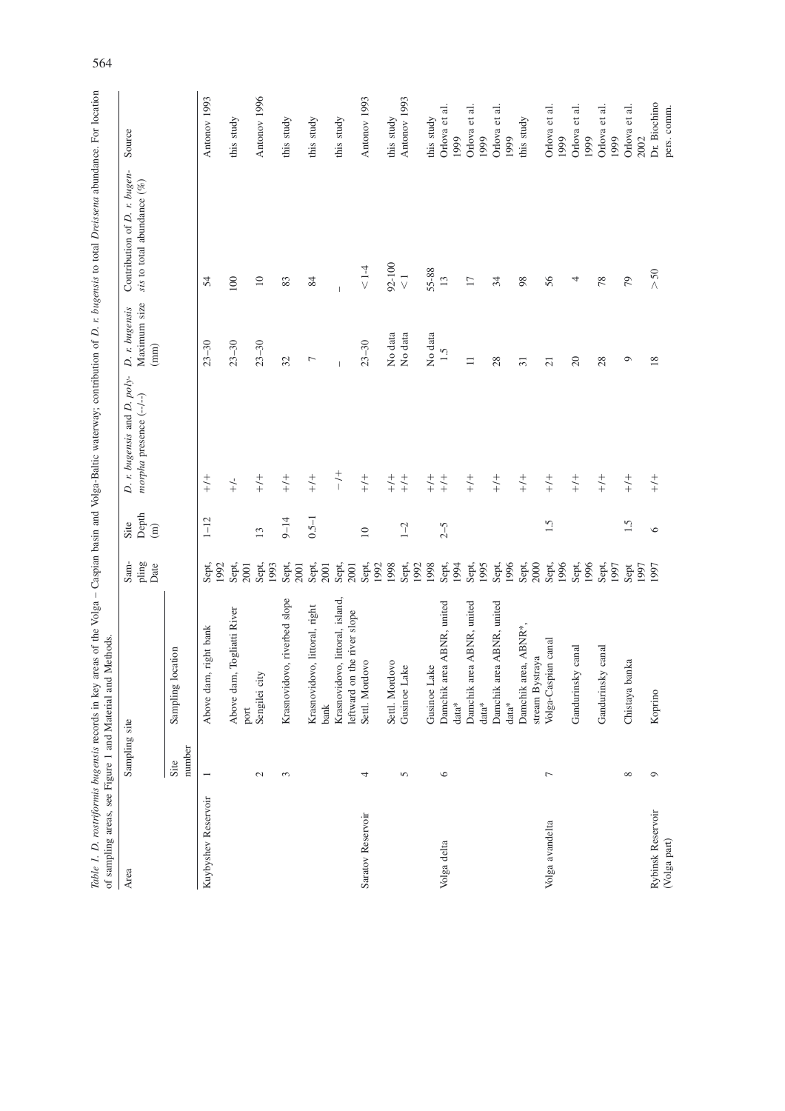|                                   |                          | Table 1. D. rostriformis bugensis records in key areas of the Volga - Caspian basin and Volga-Balic waterway; contribution of D. r. bugensis to total Dreissena abundance. For location<br>of sampling areas, see Figure 1 and Material and Methods. |                       |                                |                                                        |                                        |                                                               |                             |
|-----------------------------------|--------------------------|------------------------------------------------------------------------------------------------------------------------------------------------------------------------------------------------------------------------------------------------------|-----------------------|--------------------------------|--------------------------------------------------------|----------------------------------------|---------------------------------------------------------------|-----------------------------|
| Area                              | Sampling site            |                                                                                                                                                                                                                                                      | Sam-<br>pling<br>Date | Depth<br>Site<br>$\widehat{E}$ | D. r. bugensis and D. poly-<br>morpha presence (--/--) | Maximum size<br>D. r. bugensis<br>(mm) | Contribution of D. r. bugen-<br>sis to total abundance $(\%)$ | Source                      |
|                                   | number<br>Site           | location<br>Sampling                                                                                                                                                                                                                                 |                       |                                |                                                        |                                        |                                                               |                             |
| Kuybyshev Reservoir               | $\overline{\phantom{0}}$ | Above dam, right bank                                                                                                                                                                                                                                | Sept,<br>1992         | $1 - 12$                       | $\frac{+}{+}$                                          | $23 - 30$                              | 54                                                            | Antonov 1993                |
|                                   |                          | Above dam, Togliatti River<br>port                                                                                                                                                                                                                   | Sept,<br>2001         |                                | $\stackrel{\scriptscriptstyle\mathsf{L}}{+}$           | $23 - 30$                              | $100\,$                                                       | this study                  |
|                                   | $\mathcal{L}$            | Sengilei city                                                                                                                                                                                                                                        | Sept,<br>1993         | 13                             | $+/-$                                                  | $23 - 30$                              | $\Box$                                                        | Antonov 1996                |
|                                   | $\mathfrak{g}$           | Krasnovidovo, riverbed slope                                                                                                                                                                                                                         | Sept,<br>2001         | $9 - 14$                       | $\frac{+}{+}$                                          | 32                                     | 83                                                            | this study                  |
|                                   |                          | Krasnovidovo, littoral, right<br>bank                                                                                                                                                                                                                | Sept,<br>2001         | $0.5 - 1$                      | $\frac{+}{+}$                                          | 7                                      | 84                                                            | this study                  |
|                                   |                          | Krasnovidovo, littoral, island,<br>leftward on the river slope                                                                                                                                                                                       | Sept,<br>2001         |                                | $\frac{+}{\sqrt{2}}$                                   |                                        |                                                               | this study                  |
| Saratov Reservoir                 | 4                        | Settl. Mordovo                                                                                                                                                                                                                                       | Sept,<br>1992         | $\overline{10}$                | $\overset{+}{\underset{+}{\smile}}$                    | $23 - 30$                              | $\leq 1\mbox{-}4$                                             | Antonov 1993                |
|                                   |                          | Settl. Mordovo                                                                                                                                                                                                                                       | 1998                  |                                | $\genfrac{}{}{0pt}{}{+}{+}\genfrac{}{}{0pt}{}{+}{+}$   | No data                                | 92-100                                                        | this study                  |
|                                   | 5                        | Gusinoe Lake                                                                                                                                                                                                                                         | Sept,<br>1992         | $1 - 2$                        | $\overset{+}{\underset{+}{\smile}}$                    | No data                                | $\overline{\vee}$                                             | Antonov 1993                |
|                                   |                          | Gusinoe Lake                                                                                                                                                                                                                                         | 1998                  |                                | $+/-$                                                  | No data                                | 55-88                                                         | this study                  |
| Volga delta                       | $\circ$                  | area ABNR, united<br>Damchik<br>$data*$                                                                                                                                                                                                              | 1994<br>Sept,         | $2 - 5$                        | $\overset{+}{+}$                                       | 1.5                                    | 13                                                            | Orlova et al.<br>1999       |
|                                   |                          | area ABNR, united<br>Damchik                                                                                                                                                                                                                         | Sept,                 |                                | $\overset{+}{\underset{+}{\smile}}$                    | $\equiv$                               | $17\,$                                                        | Orlova et al.               |
|                                   |                          | $data*$                                                                                                                                                                                                                                              | 1995                  |                                |                                                        |                                        |                                                               | 1999                        |
|                                   |                          | area ABNR, united<br>Damchik<br>$\mathrm{data}^*$                                                                                                                                                                                                    | 1996<br>Sept,         |                                | $\frac{+}{+}$                                          | 28                                     | 34                                                            | Orlova et al.<br>1999       |
|                                   |                          | area, ABNR*<br>Damchik                                                                                                                                                                                                                               | Sept,                 |                                | $+$                                                    | $\overline{31}$                        | 98                                                            | this study                  |
| Volga avandelta                   | 7                        | Volga-Caspian canal<br>stream Bystraya                                                                                                                                                                                                               | 2000<br>Sept,         | 1.5                            | $\frac{+}{+}$                                          | $\overline{21}$                        | 56                                                            | Orlova et al.<br>1999       |
|                                   |                          | Gandurinsky canal                                                                                                                                                                                                                                    | 1996<br>1996<br>Sept, |                                | $\frac{+}{+}$                                          | $20\,$                                 | 4                                                             | Orlova et al.<br>1999       |
|                                   |                          | Gandurinsky canal                                                                                                                                                                                                                                    | Sept,<br>1997         |                                | $+/-$                                                  | 28                                     | 78                                                            | Orlova et al<br>1999        |
|                                   | $\infty$                 | Chistaya banka                                                                                                                                                                                                                                       | Sept<br>1997          | 1.5                            | $\genfrac{}{}{0pt}{}{+}{+}\genfrac{}{}{0pt}{}{+}{+}$   | $\circ$                                | 79                                                            | Orlova et al.<br>2002       |
| Rybinsk Reservoir<br>(Volga part) | $\circ$                  | Koprino                                                                                                                                                                                                                                              | 1997                  | $\circ$                        | $\frac{+}{+}$                                          | $18\,$                                 | $>50$                                                         | Dr. Biochino<br>pers. comm. |

564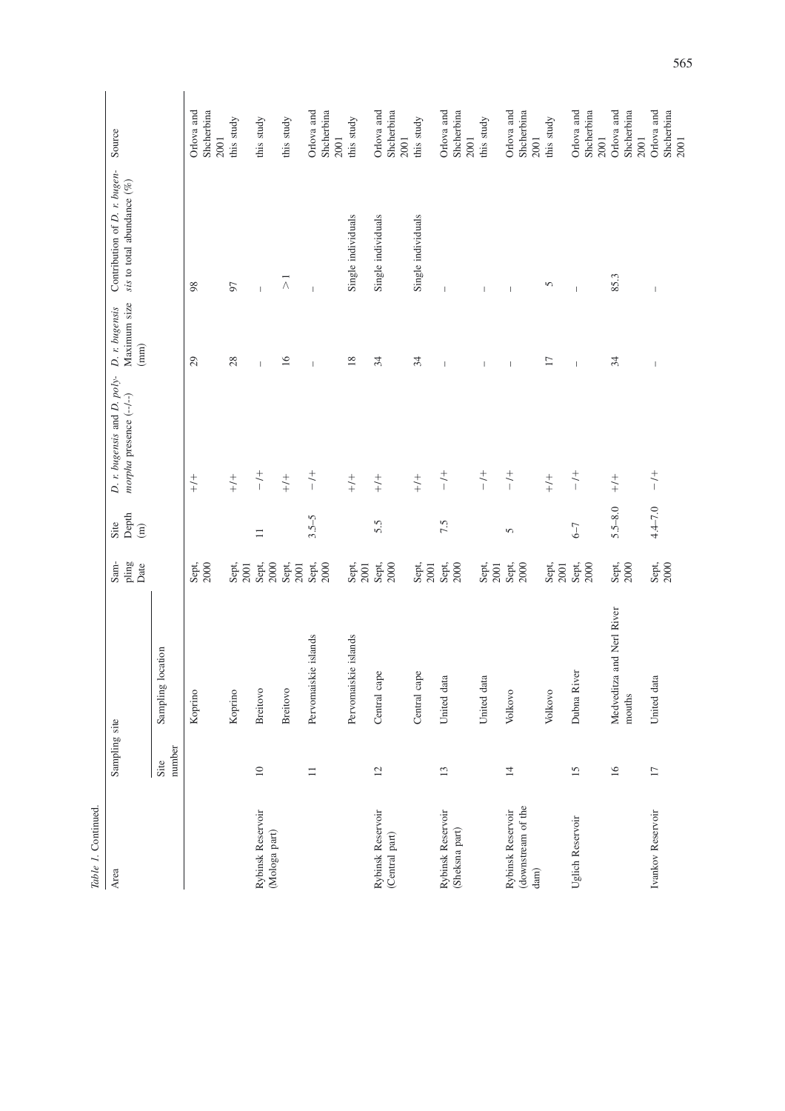| Table 1. Continued.                             |                 |                                     |                       |                                |                                                        |                                        |                                                               |                                  |
|-------------------------------------------------|-----------------|-------------------------------------|-----------------------|--------------------------------|--------------------------------------------------------|----------------------------------------|---------------------------------------------------------------|----------------------------------|
| Area                                            | Sampling site   |                                     | pling<br>Sam-<br>Date | Depth<br>Site<br>$\widehat{E}$ | D. r. bugensis and D. poly-<br>morpha presence (--/--) | Maximum size<br>D. r. bugensis<br>(mm) | Contribution of D. r. bugen-<br>sis to total abundance $(\%)$ | Source                           |
|                                                 | number<br>Site  | Sampling location                   |                       |                                |                                                        |                                        |                                                               |                                  |
|                                                 |                 | Koprino                             | Sept,<br>2000         |                                | $\frac{+}{+}$                                          | $\overline{c}$                         | 98                                                            | Orlova and<br>Shcherbina<br>2001 |
|                                                 |                 | Koprino                             | Sept,<br>2001         |                                | $\frac{+}{+}$                                          | 28                                     | 57                                                            | this study                       |
| Rybinsk Reservoir<br>(Mologa part)              | $\Box$          | <b>Breitovo</b>                     | Sept,<br>2000         | $\equiv$                       | $\overset{+}{\mathstrut\smile}$                        |                                        |                                                               | this study                       |
|                                                 |                 | <b>Breitovo</b>                     | Sept,<br>2001         |                                | $\genfrac{}{}{0pt}{}{+}{+}\hspace{-2pt}$               | $\overline{16}$                        | $\wedge$                                                      | this study                       |
|                                                 | $\equiv$        | Pervomaiskie islands                | Sept,<br>2000         | $3.5 - 5$                      | $\overset{+}{\mathstrut\sim}$                          | $\overline{1}$                         | $\overline{1}$                                                | Orlova and<br>Shcherbina<br>2001 |
|                                                 |                 | Pervomaiskie islands                | Sept,<br>2001         |                                | $\genfrac{}{}{0pt}{}{+}{+}\genfrac{}{}{0pt}{}{+}{+}$   | 18                                     | Single individuals                                            | this study                       |
| Rybinsk Reservoir<br>(Central part)             | $\overline{c}$  | Ō<br>Central cap                    | Sept,<br>2000         | 5.5                            | $\begin{array}{c} + \\ + \end{array}$                  | 34                                     | Single individuals                                            | Orlova and<br>Shcherbina<br>2001 |
|                                                 |                 | Central cape                        | Sept,<br>2001         |                                | $\genfrac{}{}{0pt}{}{+}{+}\genfrac{}{}{0pt}{}{+}{+}$   | 34                                     | Single individuals                                            | this study                       |
| Rybinsk Reservoir<br>(Sheksna part)             | 13              | United data                         | Sept,<br>2000         | 7.5                            | $\overset{+}{\mathstrut\smile}$                        | $\overline{1}$                         | $\overline{\phantom{a}}$                                      | Orlova and<br>Shcherbina<br>2001 |
|                                                 |                 | United data                         | Sept,<br>2001         |                                | $\frac{+}{-}$                                          | I                                      | $\overline{\phantom{a}}$                                      | this study                       |
| (downstream of the<br>Rybinsk Reservoir<br>dam) | $\overline{1}$  | Volkovo                             | Sept,<br>2000         | 5                              | $\frac{+}{-}$                                          | $\overline{1}$                         | $\overline{\phantom{a}}$                                      | Orlova and<br>Shcherbina<br>2001 |
|                                                 |                 | Volkovo                             | Sept,<br>2001         |                                | $\overset{+}{\underset{+}{\smile}}$                    | $\Box$                                 | 5                                                             | this study                       |
| Uglich Reservoir                                | 15              | Dubna River                         | Sept,<br>2000         | $6 - 7$                        | $\frac{+}{\sqrt{2}}$                                   | $\overline{1}$                         |                                                               | Orlova and<br>Shcherbina<br>2001 |
|                                                 | 16              | Medveditza and Nerl River<br>mouths | $Sept$ ,<br>$2000$    | $5.5 - 8.0$                    | $\begin{array}{c} + \\ + \end{array}$                  | 34                                     | 85.3                                                          | Orlova and<br>Shcherbina<br>2001 |
| Ivankov Reservoir                               | $\overline{17}$ | United data                         | Sept,<br>2000         | $4.4 - 7.0$                    | $\frac{+}{1}$                                          | $\mathbb{I}$                           | $\overline{\phantom{a}}$                                      | Orlova and<br>Shcherbina<br>2001 |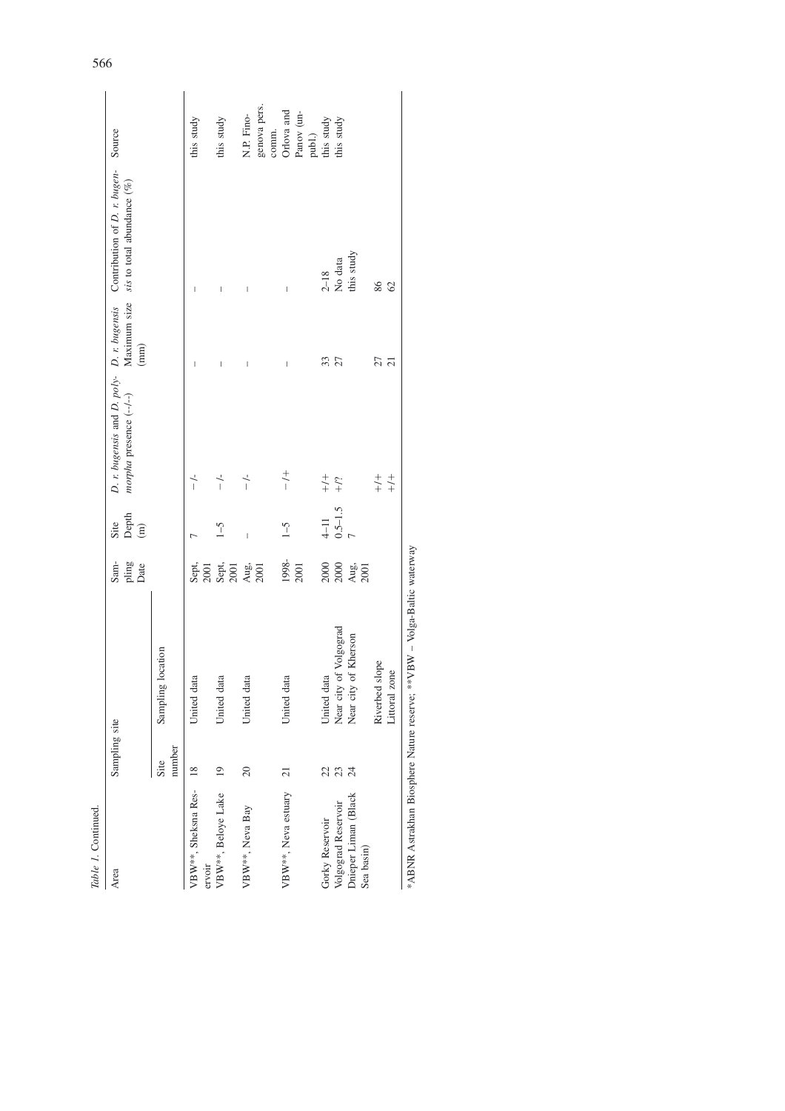| Table 1. Continued.                                       |                       |                                                                         |                               |                     |                         |                          |                                                                                                                            |                                     |
|-----------------------------------------------------------|-----------------------|-------------------------------------------------------------------------|-------------------------------|---------------------|-------------------------|--------------------------|----------------------------------------------------------------------------------------------------------------------------|-------------------------------------|
| Area                                                      | Sampling site         |                                                                         | Sam-<br>pling<br>Date         | Depth $(m)$<br>Site | morpha presence (--/--) | $\left( \min \right)$    | D. r. bugensis and D. poly- D. r. bugensis Contribution of D. r. bugen-<br>Maximum size $size$ sis to total abundance $(%$ | Source                              |
|                                                           | number<br>Site        | Sampling location                                                       |                               |                     |                         |                          |                                                                                                                            |                                     |
| VBW <sup>**</sup> , Sheksna Res-<br>ervoir                | $\frac{8}{2}$         | United data                                                             | Sept,<br>2001                 |                     | $-1$                    | I                        | $\begin{array}{c} \end{array}$                                                                                             | this study                          |
| VBW <sup>**</sup> , Beloye Lake                           | $^{19}$               | United data                                                             |                               | $\zeta$ -1          | $\frac{1}{1}$           |                          | I                                                                                                                          | this study                          |
| VBW**, Neva Bay                                           | $\overline{c}$        | United data                                                             | Sept.<br>2001<br>Aug.<br>2001 | $\overline{1}$      | $\frac{1}{1}$           | $\overline{\phantom{a}}$ | $\overline{\phantom{a}}$                                                                                                   | genova pers.<br>N.P. Fino-<br>comm. |
| VBW <sup>**</sup> , Neva estuary                          | $\overline{21}$       | United data                                                             | 1998-<br>2001                 | $\zeta$ -1          | $\frac{+}{1}$           |                          |                                                                                                                            | Orlova and<br>Panov (un-<br>publ.)  |
| Gorky Reservoir                                           | 22                    | United data                                                             |                               | $4-11$              | $\frac{+}{+}$           | 33                       | $2 - 18$                                                                                                                   | this study                          |
| Dnieper Liman (Black<br>Volgograd Reservoir<br>Sea basin) | 23<br>$\overline{24}$ | Near city of Volgograd<br>Near city of Kherson                          | 2000<br>2000<br>2001<br>2001  | $0.5 - 1.5$         | $\div$                  | 27                       | this study<br>No data                                                                                                      | this study                          |
|                                                           |                       | Riverbed slope<br>Littoral zone                                         |                               |                     | $\frac{+}{+}$<br>$+/-$  | 27<br>$\overline{c}$     | 86<br>$\infty$                                                                                                             |                                     |
|                                                           |                       | *ARNR Astrakhan Riosphere Nature reserver **VRW - Volga-Raltic waterway |                               |                     |                         |                          |                                                                                                                            |                                     |

\*ABNR Astrakhan Biosphere Nature reserve; \*\*VBW – Volga-Baltic waterway vay ij  $\overline{1}$  $x_{\text{S1}}$ š á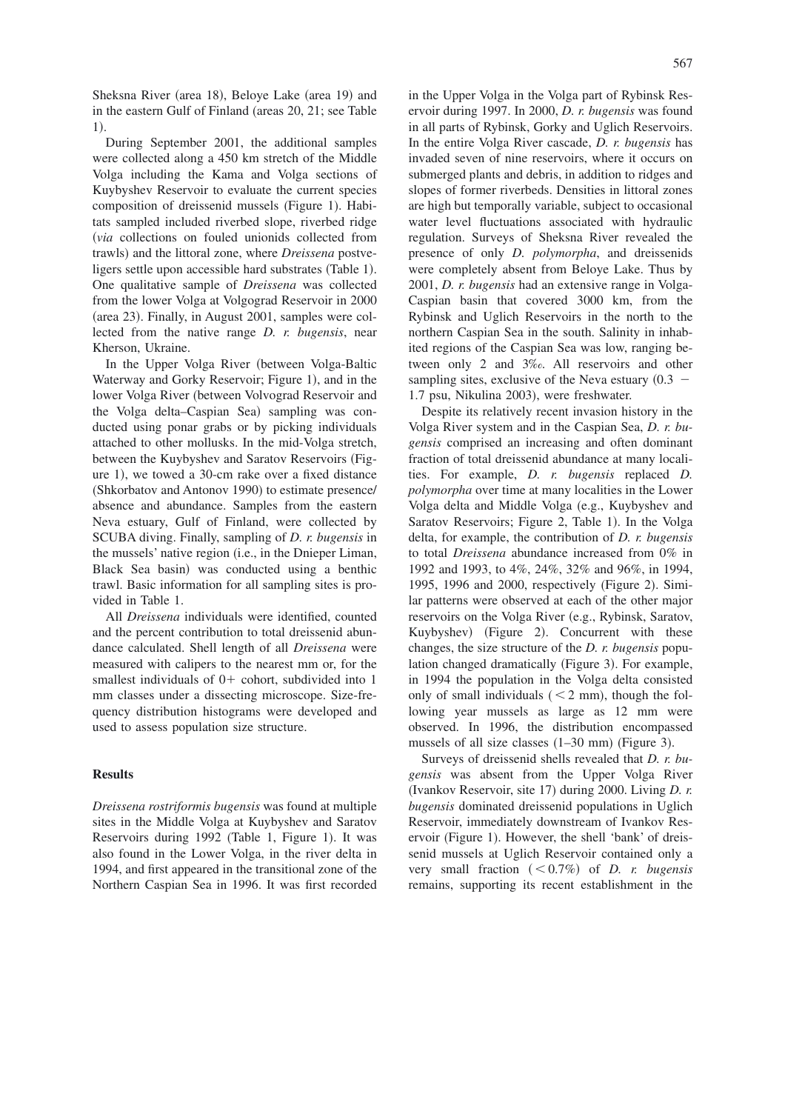Sheksna River (area 18), Beloye Lake (area 19) and in the eastern Gulf of Finland (areas  $20$ ,  $21$ ; see Table 1).

During September 2001, the additional samples were collected along a 450 km stretch of the Middle Volga including the Kama and Volga sections of Kuybyshev Reservoir to evaluate the current species composition of dreissenid mussels (Figure 1). Habitats sampled included riverbed slope, riverbed ridge *via* collections on fouled unionids collected from trawls) and the littoral zone, where *Dreissena* postveligers settle upon accessible hard substrates (Table 1). One qualitative sample of *Dreissena* was collected from the lower Volga at Volgograd Reservoir in 2000 (area 23). Finally, in August 2001, samples were collected from the native range *D. r. bugensis*, near Kherson, Ukraine.

In the Upper Volga River (between Volga-Baltic Waterway and Gorky Reservoir; Figure 1), and in the lower Volga River (between Volvograd Reservoir and the Volga delta-Caspian Sea) sampling was conducted using ponar grabs or by picking individuals attached to other mollusks. In the mid-Volga stretch, between the Kuybyshev and Saratov Reservoirs (Figure 1), we towed a 30-cm rake over a fixed distance (Shkorbatov and Antonov 1990) to estimate presence/ absence and abundance. Samples from the eastern Neva estuary, Gulf of Finland, were collected by SCUBA diving. Finally, sampling of *D. r. bugensis* in the mussels' native region (i.e., in the Dnieper Liman, Black Sea basin) was conducted using a benthic trawl. Basic information for all sampling sites is provided in Table 1.

All *Dreissena* individuals were identified, counted and the percent contribution to total dreissenid abundance calculated. Shell length of all *Dreissena* were measured with calipers to the nearest mm or, for the smallest individuals of  $0+$  cohort, subdivided into 1 mm classes under a dissecting microscope. Size-frequency distribution histograms were developed and used to assess population size structure.

# **Results**

*Dreissena rostriformis bugensis* was found at multiple sites in the Middle Volga at Kuybyshev and Saratov Reservoirs during 1992 (Table 1, Figure 1). It was also found in the Lower Volga, in the river delta in 1994, and first appeared in the transitional zone of the Northern Caspian Sea in 1996. It was first recorded

in the Upper Volga in the Volga part of Rybinsk Reservoir during 1997. In 2000, *D. r. bugensis* was found in all parts of Rybinsk, Gorky and Uglich Reservoirs. In the entire Volga River cascade, *D. r. bugensis* has invaded seven of nine reservoirs, where it occurs on submerged plants and debris, in addition to ridges and slopes of former riverbeds. Densities in littoral zones are high but temporally variable, subject to occasional water level fluctuations associated with hydraulic regulation. Surveys of Sheksna River revealed the presence of only *D. polymorpha*, and dreissenids were completely absent from Beloye Lake. Thus by 2001, *D. r. bugensis* had an extensive range in Volga-Caspian basin that covered 3000 km, from the Rybinsk and Uglich Reservoirs in the north to the northern Caspian Sea in the south. Salinity in inhabited regions of the Caspian Sea was low, ranging between only 2 and 3‰. All reservoirs and other sampling sites, exclusive of the Neva estuary  $(0.3 -$ 1.7 psu, Nikulina 2003), were freshwater.

Despite its relatively recent invasion history in the Volga River system and in the Caspian Sea, *D. r. bugensis* comprised an increasing and often dominant fraction of total dreissenid abundance at many localities. For example, *D. r. bugensis* replaced *D. polymorpha* over time at many localities in the Lower Volga delta and Middle Volga (e.g., Kuybyshev and Saratov Reservoirs; Figure 2, Table 1). In the Volga delta, for example, the contribution of *D. r. bugensis* to total *Dreissena* abundance increased from 0% in 1992 and 1993, to 4%, 24%, 32% and 96%, in 1994, 1995, 1996 and 2000, respectively (Figure 2). Similar patterns were observed at each of the other major reservoirs on the Volga River (e.g., Rybinsk, Saratov, Kuybyshev) (Figure 2). Concurrent with these changes, the size structure of the *D. r. bugensis* population changed dramatically (Figure 3). For example, in 1994 the population in the Volga delta consisted only of small individuals  $(< 2$  mm), though the following year mussels as large as 12 mm were observed. In 1996, the distribution encompassed mussels of all size classes  $(1-30 \text{ mm})$  (Figure 3).

Surveys of dreissenid shells revealed that *D. r. bugensis* was absent from the Upper Volga River (Ivankov Reservoir, site 17) during 2000. Living *D. r. bugensis* dominated dreissenid populations in Uglich Reservoir, immediately downstream of Ivankov Reservoir (Figure 1). However, the shell 'bank' of dreissenid mussels at Uglich Reservoir contained only a very small fraction  $(< 0.7\%)$  of *D. r. bugensis* remains, supporting its recent establishment in the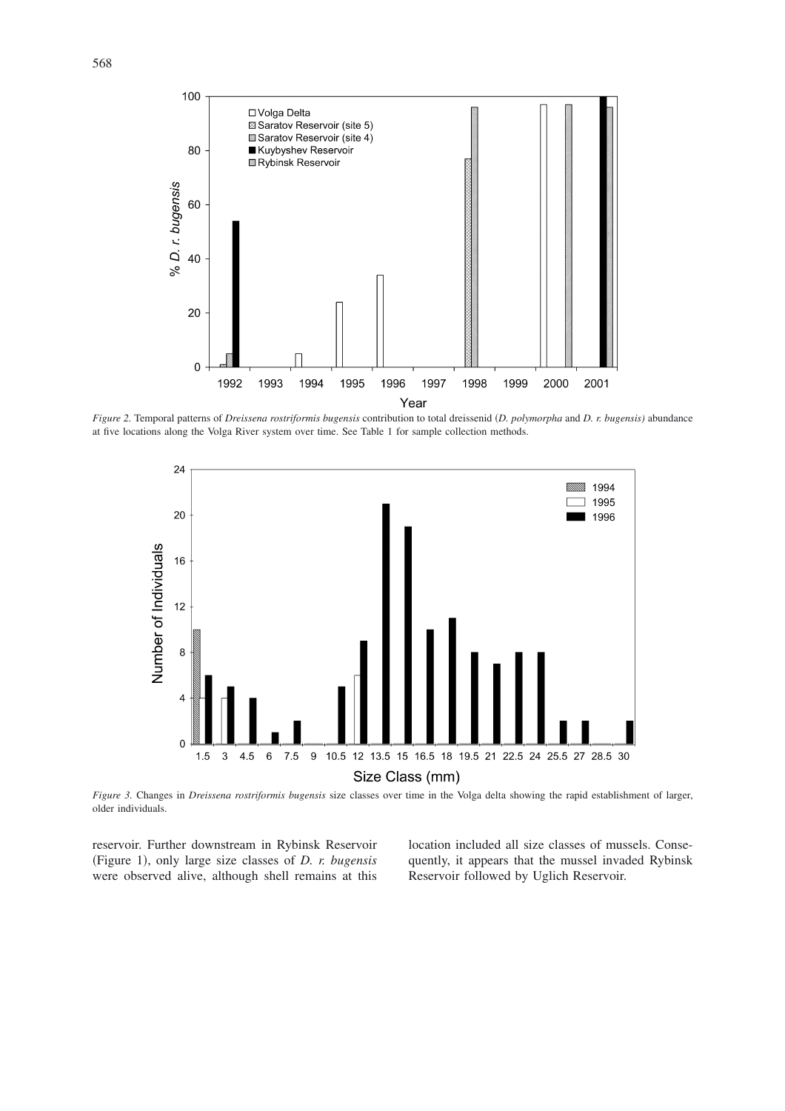

*Figure 2.* Temporal patterns of *Dreissena rostriformis bugensis* contribution to total dreissenid *D. polymorpha* and *D. r. bugensis)* abundance at five locations along the Volga River system over time. See Table 1 for sample collection methods.



*Figure 3.* Changes in *Dreissena rostriformis bugensis* size classes over time in the Volga delta showing the rapid establishment of larger, older individuals.

reservoir. Further downstream in Rybinsk Reservoir (Figure 1), only large size classes of *D. r. bugensis* were observed alive, although shell remains at this location included all size classes of mussels. Consequently, it appears that the mussel invaded Rybinsk Reservoir followed by Uglich Reservoir.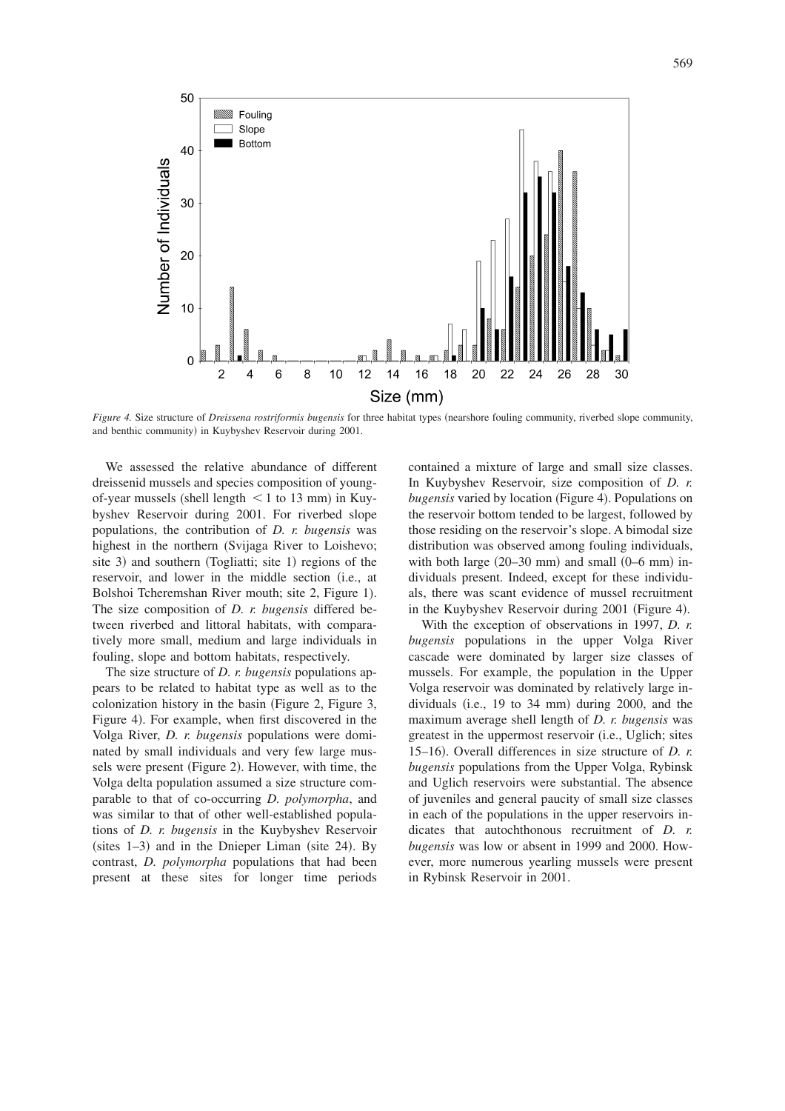

*Figure 4. Size structure of Dreissena rostriformis bugensis* for three habitat types (nearshore fouling community, riverbed slope community, and benthic community) in Kuybyshev Reservoir during 2001.

We assessed the relative abundance of different dreissenid mussels and species composition of youngof-year mussels (shell length  $\leq 1$  to 13 mm) in Kuybyshev Reservoir during 2001. For riverbed slope populations, the contribution of *D. r. bugensis* was highest in the northern (Svijaga River to Loishevo; site 3) and southern (Togliatti; site 1) regions of the reservoir, and lower in the middle section (i.e., at Bolshoi Tcheremshan River mouth; site 2, Figure 1). The size composition of *D. r. bugensis* differed between riverbed and littoral habitats, with comparatively more small, medium and large individuals in fouling, slope and bottom habitats, respectively.

The size structure of *D. r. bugensis* populations appears to be related to habitat type as well as to the colonization history in the basin (Figure 2, Figure 3, Figure 4). For example, when first discovered in the Volga River, *D. r. bugensis* populations were dominated by small individuals and very few large mussels were present (Figure 2). However, with time, the Volga delta population assumed a size structure comparable to that of co-occurring *D. polymorpha*, and was similar to that of other well-established populations of *D. r. bugensis* in the Kuybyshev Reservoir  $(sites 1-3)$  and in the Dnieper Liman (site 24). By contrast, *D. polymorpha* populations that had been present at these sites for longer time periods contained a mixture of large and small size classes. In Kuybyshev Reservoir, size composition of *D. r.* bugensis varied by location (Figure 4). Populations on the reservoir bottom tended to be largest, followed by those residing on the reservoir's slope. A bimodal size distribution was observed among fouling individuals, with both large  $(20-30 \text{ mm})$  and small  $(0-6 \text{ mm})$  individuals present. Indeed, except for these individuals, there was scant evidence of mussel recruitment in the Kuybyshev Reservoir during 2001 (Figure 4).

With the exception of observations in 1997, *D. r. bugensis* populations in the upper Volga River cascade were dominated by larger size classes of mussels. For example, the population in the Upper Volga reservoir was dominated by relatively large individuals (i.e.,  $19$  to  $34$  mm) during  $2000$ , and the maximum average shell length of *D. r. bugensis* was greatest in the uppermost reservoir (i.e., Uglich; sites 15–16). Overall differences in size structure of *D. r. bugensis* populations from the Upper Volga, Rybinsk and Uglich reservoirs were substantial. The absence of juveniles and general paucity of small size classes in each of the populations in the upper reservoirs indicates that autochthonous recruitment of *D. r. bugensis* was low or absent in 1999 and 2000. However, more numerous yearling mussels were present in Rybinsk Reservoir in 2001.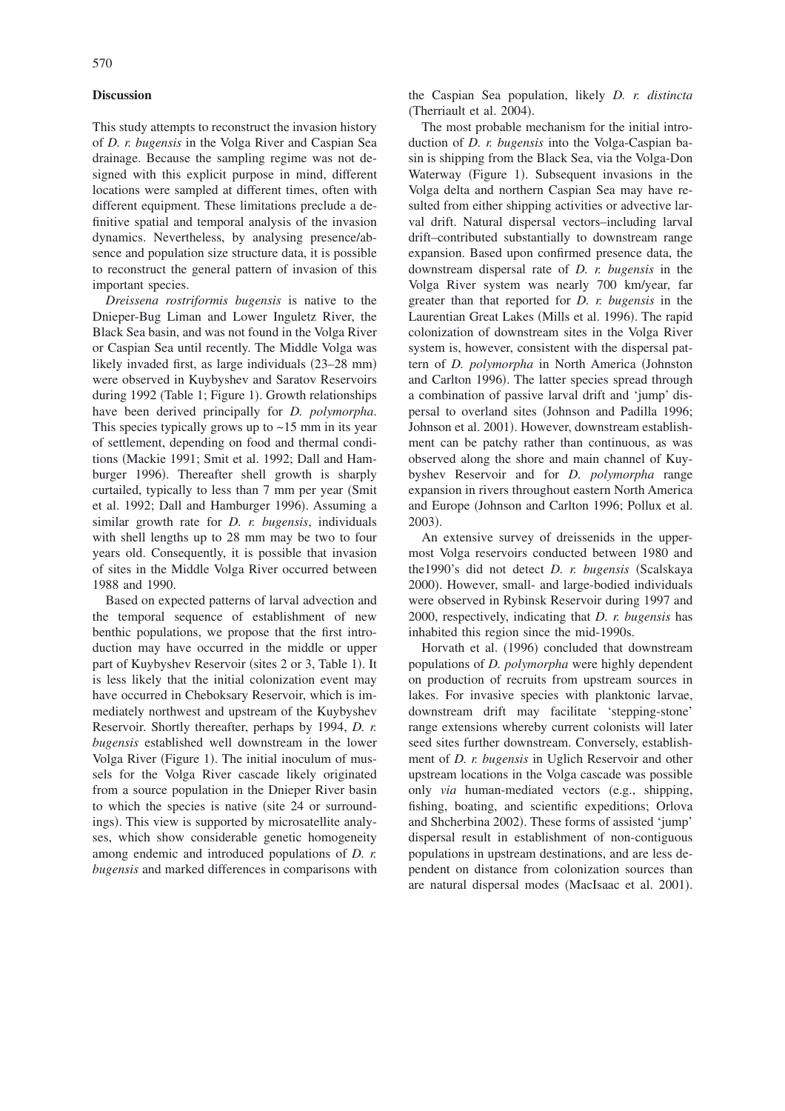## **Discussion**

This study attempts to reconstruct the invasion history of *D. r. bugensis* in the Volga River and Caspian Sea drainage. Because the sampling regime was not designed with this explicit purpose in mind, different locations were sampled at different times, often with different equipment. These limitations preclude a definitive spatial and temporal analysis of the invasion dynamics. Nevertheless, by analysing presence/absence and population size structure data, it is possible to reconstruct the general pattern of invasion of this important species.

*Dreissena rostriformis bugensis* is native to the Dnieper-Bug Liman and Lower Inguletz River, the Black Sea basin, and was not found in the Volga River or Caspian Sea until recently. The Middle Volga was likely invaded first, as large individuals (23–28 mm) were observed in Kuybyshev and Saratov Reservoirs during 1992 (Table 1; Figure 1). Growth relationships have been derived principally for *D. polymorpha*. This species typically grows up to  $\sim$ 15 mm in its year of settlement, depending on food and thermal conditions Mackie 1991; Smit et al. 1992; Dall and Hamburger 1996). Thereafter shell growth is sharply curtailed, typically to less than 7 mm per year (Smit et al. 1992; Dall and Hamburger 1996). Assuming a similar growth rate for *D. r. bugensis*, individuals with shell lengths up to 28 mm may be two to four years old. Consequently, it is possible that invasion of sites in the Middle Volga River occurred between 1988 and 1990.

Based on expected patterns of larval advection and the temporal sequence of establishment of new benthic populations, we propose that the first introduction may have occurred in the middle or upper part of Kuybyshev Reservoir (sites 2 or 3, Table 1). It is less likely that the initial colonization event may have occurred in Cheboksary Reservoir, which is immediately northwest and upstream of the Kuybyshev Reservoir. Shortly thereafter, perhaps by 1994, *D. r. bugensis* established well downstream in the lower Volga River (Figure 1). The initial inoculum of mussels for the Volga River cascade likely originated from a source population in the Dnieper River basin to which the species is native (site 24 or surroundings). This view is supported by microsatellite analyses, which show considerable genetic homogeneity among endemic and introduced populations of *D. r. bugensis* and marked differences in comparisons with

the Caspian Sea population, likely *D. r. distincta* (Therriault et al. 2004).

The most probable mechanism for the initial introduction of *D. r. bugensis* into the Volga-Caspian basin is shipping from the Black Sea, via the Volga-Don Waterway (Figure 1). Subsequent invasions in the Volga delta and northern Caspian Sea may have resulted from either shipping activities or advective larval drift. Natural dispersal vectors–including larval drift–contributed substantially to downstream range expansion. Based upon confirmed presence data, the downstream dispersal rate of *D. r. bugensis* in the Volga River system was nearly 700 km/year, far greater than that reported for *D. r. bugensis* in the Laurentian Great Lakes (Mills et al. 1996). The rapid colonization of downstream sites in the Volga River system is, however, consistent with the dispersal pattern of *D. polymorpha* in North America Johnston and Carlton 1996). The latter species spread through a combination of passive larval drift and 'jump' dispersal to overland sites (Johnson and Padilla 1996; Johnson et al. 2001). However, downstream establishment can be patchy rather than continuous, as was observed along the shore and main channel of Kuybyshev Reservoir and for *D. polymorpha* range expansion in rivers throughout eastern North America and Europe Johnson and Carlton 1996; Pollux et al. 2003).

An extensive survey of dreissenids in the uppermost Volga reservoirs conducted between 1980 and the1990's did not detect *D. r. bugensis* (Scalskaya 2000). However, small- and large-bodied individuals were observed in Rybinsk Reservoir during 1997 and 2000, respectively, indicating that *D. r. bugensis* has inhabited this region since the mid-1990s.

Horvath et al. (1996) concluded that downstream populations of *D. polymorpha* were highly dependent on production of recruits from upstream sources in lakes. For invasive species with planktonic larvae, downstream drift may facilitate 'stepping-stone' range extensions whereby current colonists will later seed sites further downstream. Conversely, establishment of *D. r. bugensis* in Uglich Reservoir and other upstream locations in the Volga cascade was possible only *via* human-mediated vectors (e.g., shipping, fishing, boating, and scientific expeditions; Orlova and Shcherbina 2002). These forms of assisted 'jump' dispersal result in establishment of non-contiguous populations in upstream destinations, and are less dependent on distance from colonization sources than are natural dispersal modes (MacIsaac et al. 2001).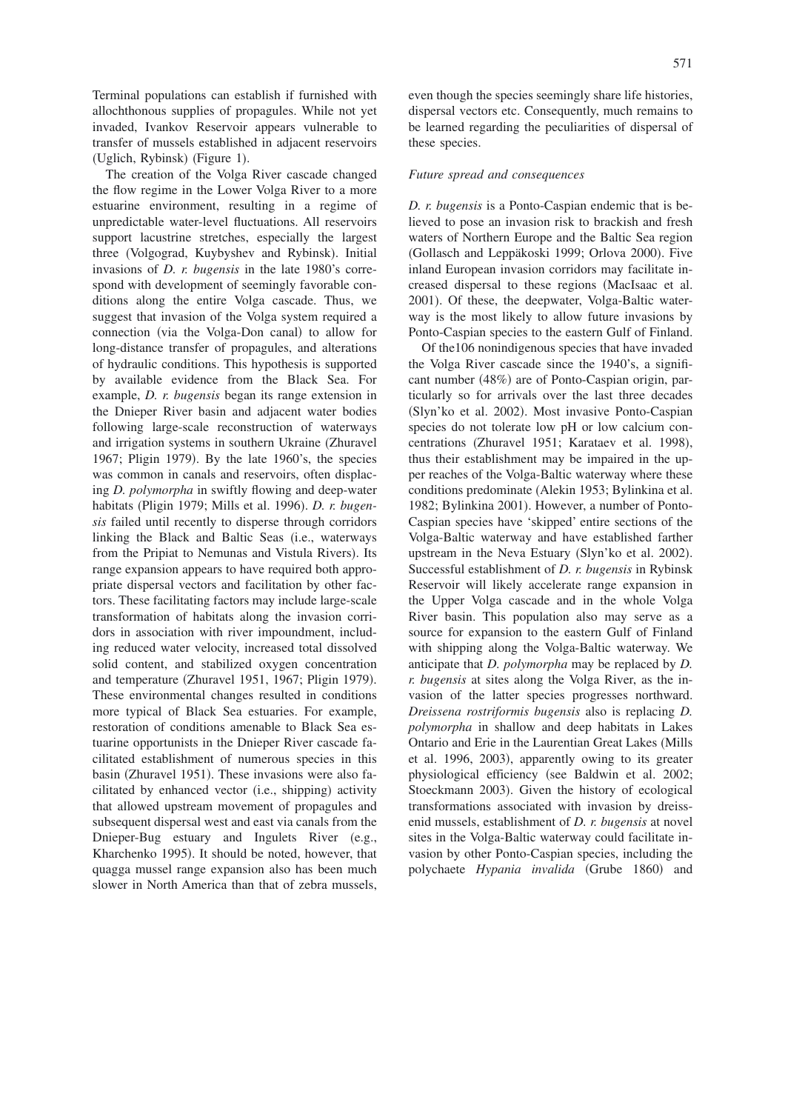Terminal populations can establish if furnished with allochthonous supplies of propagules. While not yet invaded, Ivankov Reservoir appears vulnerable to transfer of mussels established in adjacent reservoirs (Uglich, Rybinsk) (Figure 1).

The creation of the Volga River cascade changed the flow regime in the Lower Volga River to a more estuarine environment, resulting in a regime of unpredictable water-level fluctuations. All reservoirs support lacustrine stretches, especially the largest three (Volgograd, Kuybyshev and Rybinsk). Initial invasions of *D. r. bugensis* in the late 1980's correspond with development of seemingly favorable conditions along the entire Volga cascade. Thus, we suggest that invasion of the Volga system required a connection (via the Volga-Don canal) to allow for long-distance transfer of propagules, and alterations of hydraulic conditions. This hypothesis is supported by available evidence from the Black Sea. For example, *D. r. bugensis* began its range extension in the Dnieper River basin and adjacent water bodies following large-scale reconstruction of waterways and irrigation systems in southern Ukraine (Zhuravel 1967; Pligin 1979). By the late 1960's, the species was common in canals and reservoirs, often displacing *D. polymorpha* in swiftly flowing and deep-water habitats (Pligin 1979; Mills et al. 1996). *D. r. bugensis* failed until recently to disperse through corridors linking the Black and Baltic Seas (i.e., waterways from the Pripiat to Nemunas and Vistula Rivers). Its range expansion appears to have required both appropriate dispersal vectors and facilitation by other factors. These facilitating factors may include large-scale transformation of habitats along the invasion corridors in association with river impoundment, including reduced water velocity, increased total dissolved solid content, and stabilized oxygen concentration and temperature (Zhuravel 1951, 1967; Pligin 1979). These environmental changes resulted in conditions more typical of Black Sea estuaries. For example, restoration of conditions amenable to Black Sea estuarine opportunists in the Dnieper River cascade facilitated establishment of numerous species in this basin (Zhuravel 1951). These invasions were also facilitated by enhanced vector (i.e., shipping) activity that allowed upstream movement of propagules and subsequent dispersal west and east via canals from the Dnieper-Bug estuary and Ingulets River (e.g., Kharchenko 1995). It should be noted, however, that quagga mussel range expansion also has been much slower in North America than that of zebra mussels,

even though the species seemingly share life histories, dispersal vectors etc. Consequently, much remains to be learned regarding the peculiarities of dispersal of these species.

### *Future spread and consequences*

*D. r. bugensis* is a Ponto-Caspian endemic that is believed to pose an invasion risk to brackish and fresh waters of Northern Europe and the Baltic Sea region (Gollasch and Leppäkoski 1999; Orlova 2000). Five inland European invasion corridors may facilitate increased dispersal to these regions MacIsaac et al. 2001). Of these, the deepwater, Volga-Baltic waterway is the most likely to allow future invasions by Ponto-Caspian species to the eastern Gulf of Finland.

Of the106 nonindigenous species that have invaded the Volga River cascade since the 1940's, a significant number (48%) are of Ponto-Caspian origin, particularly so for arrivals over the last three decades (Slyn'ko et al. 2002). Most invasive Ponto-Caspian species do not tolerate low pH or low calcium concentrations (Zhuravel 1951; Karataev et al. 1998), thus their establishment may be impaired in the upper reaches of the Volga-Baltic waterway where these conditions predominate (Alekin 1953; Bylinkina et al. 1982; Bylinkina 2001). However, a number of Ponto-Caspian species have 'skipped' entire sections of the Volga-Baltic waterway and have established farther upstream in the Neva Estuary (Slyn'ko et al. 2002). Successful establishment of *D. r. bugensis* in Rybinsk Reservoir will likely accelerate range expansion in the Upper Volga cascade and in the whole Volga River basin. This population also may serve as a source for expansion to the eastern Gulf of Finland with shipping along the Volga-Baltic waterway. We anticipate that *D. polymorpha* may be replaced by *D. r. bugensis* at sites along the Volga River, as the invasion of the latter species progresses northward. *Dreissena rostriformis bugensis* also is replacing *D. polymorpha* in shallow and deep habitats in Lakes Ontario and Erie in the Laurentian Great Lakes (Mills et al. 1996, 2003), apparently owing to its greater physiological efficiency (see Baldwin et al. 2002; Stoeckmann 2003). Given the history of ecological transformations associated with invasion by dreissenid mussels, establishment of *D. r. bugensis* at novel sites in the Volga-Baltic waterway could facilitate invasion by other Ponto-Caspian species, including the polychaete Hypania invalida (Grube 1860) and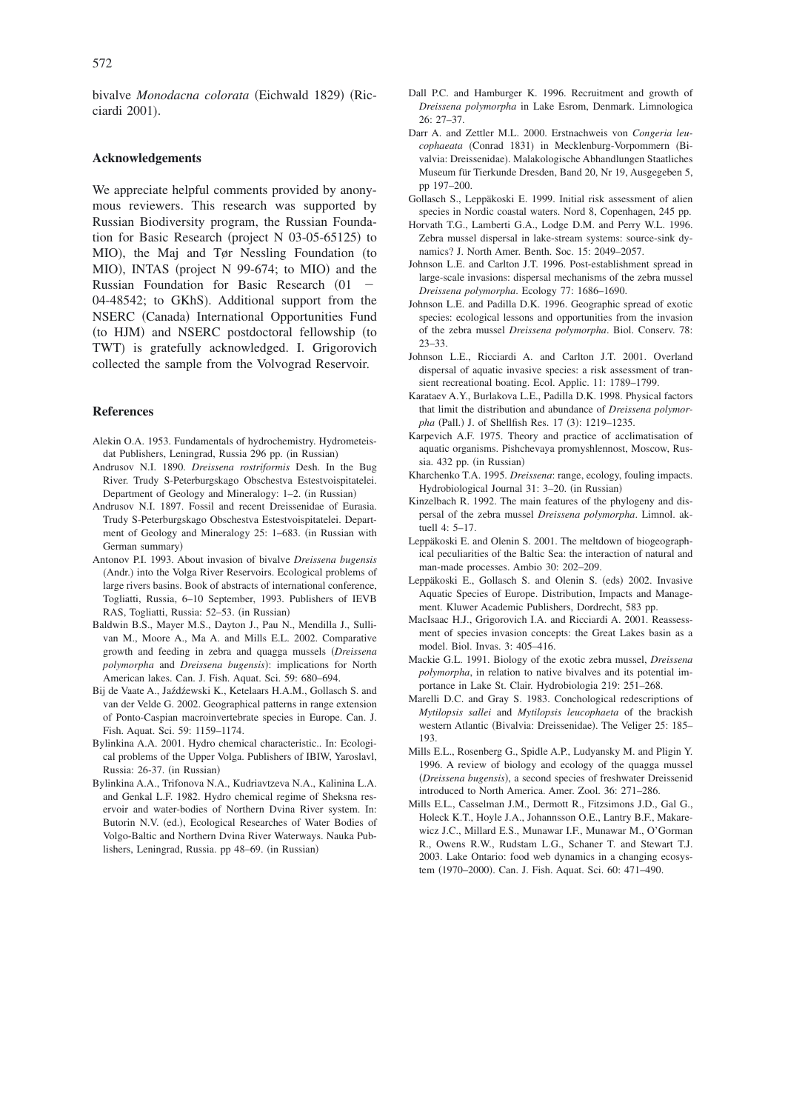bivalve Monodacna colorata (Eichwald 1829) (Ricciardi 2001).

### **Acknowledgements**

We appreciate helpful comments provided by anonymous reviewers. This research was supported by Russian Biodiversity program, the Russian Foundation for Basic Research (project N 03-05-65125) to MIO), the Maj and Tør Nessling Foundation (to MIO), INTAS (project N 99-674; to MIO) and the Russian Foundation for Basic Research (01) 04-48542; to GKhS). Additional support from the NSERC (Canada) International Opportunities Fund (to HJM) and NSERC postdoctoral fellowship (to TWT) is gratefully acknowledged. I. Grigorovich collected the sample from the Volvograd Reservoir.

### **References**

- Alekin O.A. 1953. Fundamentals of hydrochemistry. Hydrometeisdat Publishers, Leningrad, Russia 296 pp. (in Russian)
- Andrusov N.I. 1890. *Dreissena rostriformis* Desh. In the Bug River. Trudy S-Peterburgskago Obschestva Estestvoispitatelei. Department of Geology and Mineralogy: 1-2. (in Russian)
- Andrusov N.I. 1897. Fossil and recent Dreissenidae of Eurasia. Trudy S-Peterburgskago Obschestva Estestvoispitatelei. Department of Geology and Mineralogy 25: 1–683. (in Russian with German summary)
- Antonov P.I. 1993. About invasion of bivalve *Dreissena bugensis* (Andr.) into the Volga River Reservoirs. Ecological problems of large rivers basins. Book of abstracts of international conference, Togliatti, Russia, 6–10 September, 1993. Publishers of IEVB RAS, Togliatti, Russia: 52-53. (in Russian)
- Baldwin B.S., Mayer M.S., Dayton J., Pau N., Mendilla J., Sullivan M., Moore A., Ma A. and Mills E.L. 2002. Comparative growth and feeding in zebra and quagga mussels *Dreissena* polymorpha and *Dreissena bugensis*): implications for North American lakes. Can. J. Fish. Aquat. Sci. 59: 680–694.
- Bij de Vaate A., Jaźdźewski K., Ketelaars H.A.M., Gollasch S. and van der Velde G. 2002. Geographical patterns in range extension of Ponto-Caspian macroinvertebrate species in Europe. Can. J. Fish. Aquat. Sci. 59: 1159–1174.
- Bylinkina A.A. 2001. Hydro chemical characteristic.. In: Ecological problems of the Upper Volga. Publishers of IBIW, Yaroslavl, Russia: 26-37. (in Russian)
- Bylinkina A.A., Trifonova N.A., Kudriavtzeva N.A., Kalinina L.A. and Genkal L.F. 1982. Hydro chemical regime of Sheksna reservoir and water-bodies of Northern Dvina River system. In: Butorin N.V. (ed.), Ecological Researches of Water Bodies of Volgo-Baltic and Northern Dvina River Waterways. Nauka Publishers, Leningrad, Russia. pp 48–69. (in Russian)
- Dall P.C. and Hamburger K. 1996. Recruitment and growth of *Dreissena polymorpha* in Lake Esrom, Denmark. Limnologica 26: 27–37.
- Darr A. and Zettler M.L. 2000. Erstnachweis von *Congeria leu*cophaeata (Conrad 1831) in Mecklenburg-Vorpommern (Bivalvia: Dreissenidae). Malakologische Abhandlungen Staatliches Museum für Tierkunde Dresden, Band 20, Nr 19, Ausgegeben 5, pp 197–200.
- Gollasch S., Leppäkoski E. 1999. Initial risk assessment of alien species in Nordic coastal waters. Nord 8, Copenhagen, 245 pp.
- Horvath T.G., Lamberti G.A., Lodge D.M. and Perry W.L. 1996. Zebra mussel dispersal in lake-stream systems: source-sink dynamics? J. North Amer. Benth. Soc. 15: 2049–2057.
- Johnson L.E. and Carlton J.T. 1996. Post-establishment spread in large-scale invasions: dispersal mechanisms of the zebra mussel *Dreissena polymorpha*. Ecology 77: 1686–1690.
- Johnson L.E. and Padilla D.K. 1996. Geographic spread of exotic species: ecological lessons and opportunities from the invasion of the zebra mussel *Dreissena polymorpha*. Biol. Conserv. 78: 23–33.
- Johnson L.E., Ricciardi A. and Carlton J.T. 2001. Overland dispersal of aquatic invasive species: a risk assessment of transient recreational boating. Ecol. Applic. 11: 1789–1799.
- Karataev A.Y., Burlakova L.E., Padilla D.K. 1998. Physical factors that limit the distribution and abundance of *Dreissena polymor*pha (Pall.) J. of Shellfish Res. 17 (3): 1219–1235.
- Karpevich A.F. 1975. Theory and practice of acclimatisation of aquatic organisms. Pishchevaya promyshlennost, Moscow, Russia. 432 pp. (in Russian)
- Kharchenko T.A. 1995. *Dreissena*: range, ecology, fouling impacts. Hydrobiological Journal 31: 3-20. (in Russian)
- Kinzelbach R. 1992. The main features of the phylogeny and dispersal of the zebra mussel *Dreissena polymorpha*. Limnol. aktuell 4: 5–17.
- Leppäkoski E. and Olenin S. 2001. The meltdown of biogeographical peculiarities of the Baltic Sea: the interaction of natural and man-made processes. Ambio 30: 202–209.
- Leppäkoski E., Gollasch S. and Olenin S. (eds) 2002. Invasive Aquatic Species of Europe. Distribution, Impacts and Management. Kluwer Academic Publishers, Dordrecht, 583 pp.
- MacIsaac H.J., Grigorovich I.A. and Ricciardi A. 2001. Reassessment of species invasion concepts: the Great Lakes basin as a model. Biol. Invas. 3: 405–416.
- Mackie G.L. 1991. Biology of the exotic zebra mussel, *Dreissena polymorpha*, in relation to native bivalves and its potential importance in Lake St. Clair. Hydrobiologia 219: 251–268.
- Marelli D.C. and Gray S. 1983. Conchological redescriptions of *Mytilopsis sallei* and *Mytilopsis leucophaeta* of the brackish western Atlantic (Bivalvia: Dreissenidae). The Veliger 25: 185– 193.
- Mills E.L., Rosenberg G., Spidle A.P., Ludyansky M. and Pligin Y. 1996. A review of biology and ecology of the quagga mussel (Dreissena bugensis), a second species of freshwater Dreissenid introduced to North America. Amer. Zool. 36: 271–286.
- Mills E.L., Casselman J.M., Dermott R., Fitzsimons J.D., Gal G., Holeck K.T., Hoyle J.A., Johannsson O.E., Lantry B.F., Makarewicz J.C., Millard E.S., Munawar I.F., Munawar M., O'Gorman R., Owens R.W., Rudstam L.G., Schaner T. and Stewart T.J. 2003. Lake Ontario: food web dynamics in a changing ecosystem (1970–2000). Can. J. Fish. Aquat. Sci. 60: 471–490.